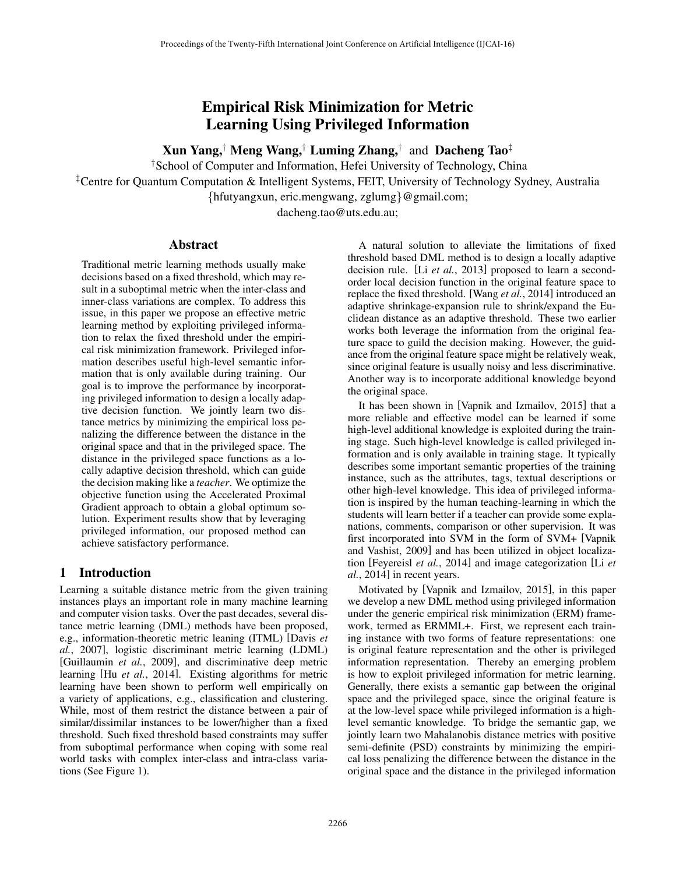# Empirical Risk Minimization for Metric Learning Using Privileged Information

Xun Yang,*†* Meng Wang,*†* Luming Zhang,*†* and Dacheng Tao*‡*

*†*School of Computer and Information, Hefei University of Technology, China

*‡*Centre for Quantum Computation & Intelligent Systems, FEIT, University of Technology Sydney, Australia

*{*hfutyangxun, eric.mengwang, zglumg*}*@gmail.com;

dacheng.tao@uts.edu.au;

### Abstract

Traditional metric learning methods usually make decisions based on a fixed threshold, which may result in a suboptimal metric when the inter-class and inner-class variations are complex. To address this issue, in this paper we propose an effective metric learning method by exploiting privileged information to relax the fixed threshold under the empirical risk minimization framework. Privileged information describes useful high-level semantic information that is only available during training. Our goal is to improve the performance by incorporating privileged information to design a locally adaptive decision function. We jointly learn two distance metrics by minimizing the empirical loss penalizing the difference between the distance in the original space and that in the privileged space. The distance in the privileged space functions as a locally adaptive decision threshold, which can guide the decision making like a *teacher*. We optimize the objective function using the Accelerated Proximal Gradient approach to obtain a global optimum solution. Experiment results show that by leveraging privileged information, our proposed method can achieve satisfactory performance.

# 1 Introduction

Learning a suitable distance metric from the given training instances plays an important role in many machine learning and computer vision tasks. Over the past decades, several distance metric learning (DML) methods have been proposed, e.g., information-theoretic metric leaning (ITML) [Davis *et al.*, 2007], logistic discriminant metric learning (LDML) [Guillaumin *et al.*, 2009], and discriminative deep metric learning [Hu *et al.*, 2014]. Existing algorithms for metric learning have been shown to perform well empirically on a variety of applications, e.g., classification and clustering. While, most of them restrict the distance between a pair of similar/dissimilar instances to be lower/higher than a fixed threshold. Such fixed threshold based constraints may suffer from suboptimal performance when coping with some real world tasks with complex inter-class and intra-class variations (See Figure 1).

A natural solution to alleviate the limitations of fixed threshold based DML method is to design a locally adaptive decision rule. [Li *et al.*, 2013] proposed to learn a secondorder local decision function in the original feature space to replace the fixed threshold. [Wang *et al.*, 2014] introduced an adaptive shrinkage-expansion rule to shrink/expand the Euclidean distance as an adaptive threshold. These two earlier works both leverage the information from the original feature space to guild the decision making. However, the guidance from the original feature space might be relatively weak, since original feature is usually noisy and less discriminative. Another way is to incorporate additional knowledge beyond the original space.

It has been shown in [Vapnik and Izmailov, 2015] that a more reliable and effective model can be learned if some high-level additional knowledge is exploited during the training stage. Such high-level knowledge is called privileged information and is only available in training stage. It typically describes some important semantic properties of the training instance, such as the attributes, tags, textual descriptions or other high-level knowledge. This idea of privileged information is inspired by the human teaching-learning in which the students will learn better if a teacher can provide some explanations, comments, comparison or other supervision. It was first incorporated into SVM in the form of SVM+ [Vapnik and Vashist, 2009] and has been utilized in object localization [Feyereisl *et al.*, 2014] and image categorization [Li *et al.*, 2014] in recent years.

Motivated by [Vapnik and Izmailov, 2015], in this paper we develop a new DML method using privileged information under the generic empirical risk minimization (ERM) framework, termed as ERMML+. First, we represent each training instance with two forms of feature representations: one is original feature representation and the other is privileged information representation. Thereby an emerging problem is how to exploit privileged information for metric learning. Generally, there exists a semantic gap between the original space and the privileged space, since the original feature is at the low-level space while privileged information is a highlevel semantic knowledge. To bridge the semantic gap, we jointly learn two Mahalanobis distance metrics with positive semi-definite (PSD) constraints by minimizing the empirical loss penalizing the difference between the distance in the original space and the distance in the privileged information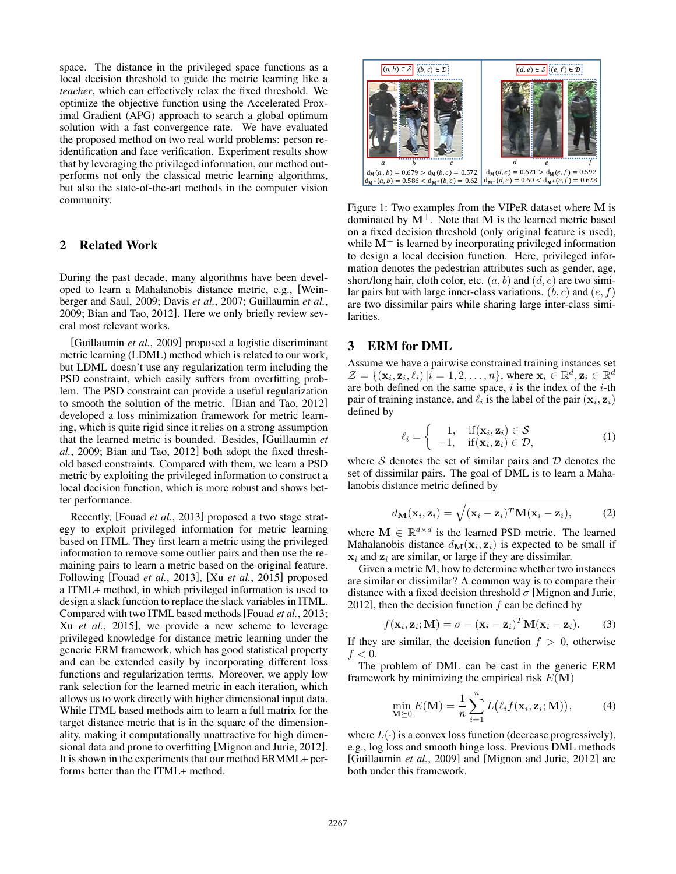space. The distance in the privileged space functions as a local decision threshold to guide the metric learning like a *teacher*, which can effectively relax the fixed threshold. We optimize the objective function using the Accelerated Proximal Gradient (APG) approach to search a global optimum solution with a fast convergence rate. We have evaluated the proposed method on two real world problems: person reidentification and face verification. Experiment results show that by leveraging the privileged information, our method outperforms not only the classical metric learning algorithms, but also the state-of-the-art methods in the computer vision community.

# 2 Related Work

During the past decade, many algorithms have been developed to learn a Mahalanobis distance metric, e.g., [Weinberger and Saul, 2009; Davis *et al.*, 2007; Guillaumin *et al.*, 2009; Bian and Tao, 2012]. Here we only briefly review several most relevant works.

[Guillaumin *et al.*, 2009] proposed a logistic discriminant metric learning (LDML) method which is related to our work, but LDML doesn't use any regularization term including the PSD constraint, which easily suffers from overfitting problem. The PSD constraint can provide a useful regularization to smooth the solution of the metric. [Bian and Tao, 2012] developed a loss minimization framework for metric learning, which is quite rigid since it relies on a strong assumption that the learned metric is bounded. Besides, [Guillaumin *et al.*, 2009; Bian and Tao, 2012] both adopt the fixed threshold based constraints. Compared with them, we learn a PSD metric by exploiting the privileged information to construct a local decision function, which is more robust and shows better performance.

Recently, [Fouad *et al.*, 2013] proposed a two stage strategy to exploit privileged information for metric learning based on ITML. They first learn a metric using the privileged information to remove some outlier pairs and then use the remaining pairs to learn a metric based on the original feature. Following [Fouad *et al.*, 2013], [Xu *et al.*, 2015] proposed a ITML+ method, in which privileged information is used to design a slack function to replace the slack variables in ITML. Compared with two ITML based methods[Fouad *et al.*, 2013; Xu *et al.*, 2015], we provide a new scheme to leverage privileged knowledge for distance metric learning under the generic ERM framework, which has good statistical property and can be extended easily by incorporating different loss functions and regularization terms. Moreover, we apply low rank selection for the learned metric in each iteration, which allows us to work directly with higher dimensional input data. While ITML based methods aim to learn a full matrix for the target distance metric that is in the square of the dimensionality, making it computationally unattractive for high dimensional data and prone to overfitting [Mignon and Jurie, 2012]. It is shown in the experiments that our method ERMML+ performs better than the ITML+ method.



Figure 1: Two examples from the VIPeR dataset where M is dominated by  $M^+$ . Note that M is the learned metric based on a fixed decision threshold (only original feature is used), while  $M^{+}$  is learned by incorporating privileged information to design a local decision function. Here, privileged information denotes the pedestrian attributes such as gender, age, short/long hair, cloth color, etc. (*a, b*) and (*d, e*) are two similar pairs but with large inner-class variations. (*b, c*) and (*e, f*) are two dissimilar pairs while sharing large inter-class similarities.

### 3 ERM for DML

Assume we have a pairwise constrained training instances set  $\mathcal{Z} = \{(\mathbf{x}_i, \mathbf{z}_i, \ell_i) | i = 1, 2, \ldots, n\}$ , where  $\mathbf{x}_i \in \mathbb{R}^d, \mathbf{z}_i \in \mathbb{R}^d$ are both defined on the same space, *i* is the index of the *i*-th pair of training instance, and  $\ell_i$  is the label of the pair  $(\mathbf{x}_i, \mathbf{z}_i)$ defined by

$$
\ell_i = \begin{cases} 1, & \text{if } (\mathbf{x}_i, \mathbf{z}_i) \in \mathcal{S} \\ -1, & \text{if } (\mathbf{x}_i, \mathbf{z}_i) \in \mathcal{D}, \end{cases}
$$
 (1)

where *S* denotes the set of similar pairs and *D* denotes the set of dissimilar pairs. The goal of DML is to learn a Mahalanobis distance metric defined by

$$
d_{\mathbf{M}}(\mathbf{x}_i, \mathbf{z}_i) = \sqrt{(\mathbf{x}_i - \mathbf{z}_i)^T \mathbf{M} (\mathbf{x}_i - \mathbf{z}_i)},
$$
 (2)

where  $M \in \mathbb{R}^{d \times d}$  is the learned PSD metric. The learned Mahalanobis distance  $d_{\mathbf{M}}(\mathbf{x}_i, \mathbf{z}_i)$  is expected to be small if  $x_i$  and  $z_i$  are similar, or large if they are dissimilar.

Given a metric M, how to determine whether two instances are similar or dissimilar? A common way is to compare their distance with a fixed decision threshold  $\sigma$  [Mignon and Jurie, 2012], then the decision function *f* can be defined by

$$
f(\mathbf{x}_i, \mathbf{z}_i; \mathbf{M}) = \sigma - (\mathbf{x}_i - \mathbf{z}_i)^T \mathbf{M} (\mathbf{x}_i - \mathbf{z}_i).
$$
 (3)

If they are similar, the decision function  $f > 0$ , otherwise  $f < 0$ .

The problem of DML can be cast in the generic ERM framework by minimizing the empirical risk  $E(\mathbf{M})$ 

$$
\min_{\mathbf{M}\succeq 0} E(\mathbf{M}) = \frac{1}{n} \sum_{i=1}^{n} L(\ell_i f(\mathbf{x}_i, \mathbf{z}_i; \mathbf{M})), \tag{4}
$$

where  $L(\cdot)$  is a convex loss function (decrease progressively), e.g., log loss and smooth hinge loss. Previous DML methods [Guillaumin *et al.*, 2009] and [Mignon and Jurie, 2012] are both under this framework.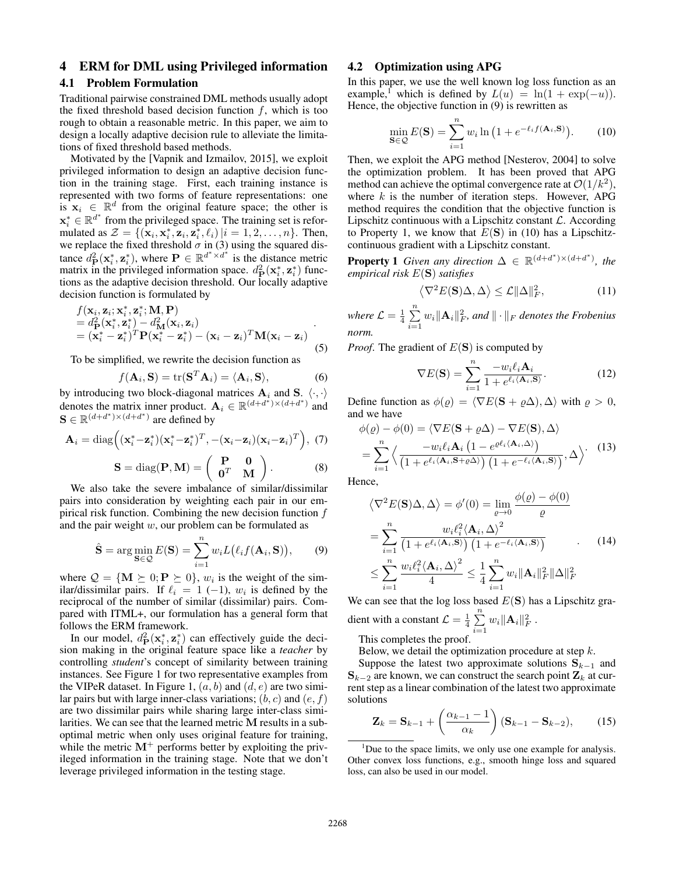# 4 ERM for DML using Privileged information

#### 4.1 Problem Formulation

Traditional pairwise constrained DML methods usually adopt the fixed threshold based decision function *f*, which is too rough to obtain a reasonable metric. In this paper, we aim to design a locally adaptive decision rule to alleviate the limitations of fixed threshold based methods.

Motivated by the [Vapnik and Izmailov, 2015], we exploit privileged information to design an adaptive decision function in the training stage. First, each training instance is represented with two forms of feature representations: one is  $x_i \in \mathbb{R}^d$  from the original feature space; the other is  $\mathbf{x}_i^* \in \mathbb{R}^{d^*}$  from the privileged space. The training set is reformulated as  $Z = \{(\mathbf{x}_i, \mathbf{x}_i^*, \mathbf{z}_i, \mathbf{z}_i^*, \ell_i) | i = 1, 2, ..., n\}$ . Then, we replace the fixed threshold  $\sigma$  in (3) using the squared distance  $d_{\mathbf{P}}^2(\mathbf{x}_i^*, \mathbf{z}_i^*)$ , where  $\mathbf{P} \in \mathbb{R}^{d^* \times d^*}$  is the distance metric matrix in the privileged information space.  $d_{\mathbf{P}}^2(\mathbf{x}_i^*, \mathbf{z}_i^*)$  functions as the adaptive decision threshold. Our locally adaptive decision function is formulated by

$$
f(\mathbf{x}_i, \mathbf{z}_i; \mathbf{x}_i^*, \mathbf{z}_i^*, \mathbf{M}, \mathbf{P})
$$
  
=  $d_{\mathbf{P}}^2(\mathbf{x}_i^*, \mathbf{z}_i^*) - d_{\mathbf{M}}^2(\mathbf{x}_i, \mathbf{z}_i)$   
=  $(\mathbf{x}_i^* - \mathbf{z}_i^*)^T \mathbf{P} (\mathbf{x}_i^* - \mathbf{z}_i^*) - (\mathbf{x}_i - \mathbf{z}_i)^T \mathbf{M} (\mathbf{x}_i - \mathbf{z}_i)$  (5)

To be simplified, we rewrite the decision function as

$$
f(\mathbf{A}_i, \mathbf{S}) = \text{tr}(\mathbf{S}^T \mathbf{A}_i) = \langle \mathbf{A}_i, \mathbf{S} \rangle,
$$
 (6)

by introducing two block-diagonal matrices  $A_i$  and  $S_i$ .  $\langle \cdot, \cdot \rangle$ denotes the matrix inner product.  $A_i \in \mathbb{R}^{(d+d^*) \times (d+d^*)}$  and  $S \in \mathbb{R}^{(d+d^*) \times (d+d^*)}$  are defined by

$$
\mathbf{A}_{i} = \text{diag}\left((\mathbf{x}_{i}^{*} - \mathbf{z}_{i}^{*})(\mathbf{x}_{i}^{*} - \mathbf{z}_{i}^{*})^{T}, -(\mathbf{x}_{i} - \mathbf{z}_{i})(\mathbf{x}_{i} - \mathbf{z}_{i})^{T}\right), (7)
$$

$$
\mathbf{S} = \text{diag}(\mathbf{P}, \mathbf{M}) = \begin{pmatrix} \mathbf{P} & \mathbf{0} \\ \mathbf{0}^T & \mathbf{M} \end{pmatrix}.
$$
 (8)

We also take the severe imbalance of similar/dissimilar pairs into consideration by weighting each pair in our empirical risk function. Combining the new decision function *f* and the pair weight *w*, our problem can be formulated as

$$
\hat{\mathbf{S}} = \arg\min_{\mathbf{S} \in \mathcal{Q}} E(\mathbf{S}) = \sum_{i=1}^{n} w_i L(\ell_i f(\mathbf{A}_i, \mathbf{S})), \quad (9)
$$

where  $Q = \{ \mathbf{M} \succeq 0; \mathbf{P} \succeq 0 \}$ ,  $w_i$  is the weight of the similar/dissimilar pairs. If  $\ell_i = 1$  (-1),  $w_i$  is defined by the reciprocal of the number of similar (dissimilar) pairs. Compared with ITML+, our formulation has a general form that follows the ERM framework.

In our model,  $d_{\text{P}}^2(\mathbf{x}_i^*, \mathbf{z}_i^*)$  can effectively guide the decision making in the original feature space like a *teacher* by controlling *student*'s concept of similarity between training instances. See Figure 1 for two representative examples from the VIPeR dataset. In Figure 1, (*a, b*) and (*d, e*) are two similar pairs but with large inner-class variations; (*b, c*) and (*e, f*) are two dissimilar pairs while sharing large inter-class similarities. We can see that the learned metric M results in a suboptimal metric when only uses original feature for training, while the metric  $M^{+}$  performs better by exploiting the privileged information in the training stage. Note that we don't leverage privileged information in the testing stage.

### 4.2 Optimization using APG

In this paper, we use the well known log loss function as an example,<sup>1</sup> which is defined by  $L(u) = \ln(1 + \exp(-u))$ . Hence, the objective function in (9) is rewritten as

$$
\min_{\mathbf{S}\in\mathcal{Q}} E(\mathbf{S}) = \sum_{i=1}^{n} w_i \ln\left(1 + e^{-\ell_i f(\mathbf{A}_i, \mathbf{S})}\right).
$$
 (10)

Then, we exploit the APG method [Nesterov, 2004] to solve the optimization problem. It has been proved that APG method can achieve the optimal convergence rate at  $O(1/k^2)$ , where *k* is the number of iteration steps. However, APG method requires the condition that the objective function is Lipschitz continuous with a Lipschitz constant *L*. According to Property 1, we know that  $E(S)$  in (10) has a Lipschitzcontinuous gradient with a Lipschitz constant.

**Property 1** *Given any direction*  $\Delta \in \mathbb{R}^{(d+d^*)\times (d+d^*)}$ , the *empirical risk E*(S) *satisfies*

$$
\left\langle \nabla^2 E(\mathbf{S}) \Delta, \Delta \right\rangle \le \mathcal{L} \|\Delta\|_F^2, \tag{11}
$$

*where*  $\mathcal{L} = \frac{1}{4} \sum_{i=1}^{n}$  $\sum_{i=1}^{n} w_i ||\mathbf{A}_i||_F^2$ , and  $|| \cdot ||_F$  denotes the Frobenius *norm.*

*Proof*. The gradient of *E*(S) is computed by

$$
\nabla E(\mathbf{S}) = \sum_{i=1}^{n} \frac{-w_i \ell_i \mathbf{A}_i}{1 + e^{\ell_i \langle \mathbf{A}_i, \mathbf{S} \rangle}}.
$$
 (12)

Define function as  $\phi(\rho) = \langle \nabla E(\mathbf{S} + \rho \Delta), \Delta \rangle$  with  $\rho > 0$ , and we have

$$
\phi(\varrho) - \phi(0) = \langle \nabla E(\mathbf{S} + \varrho \Delta) - \nabla E(\mathbf{S}), \Delta \rangle \n= \sum_{i=1}^{n} \left\langle \frac{-w_i \ell_i \mathbf{A}_i (1 - e^{\varrho \ell_i \langle \mathbf{A}_i, \Delta \rangle})}{(1 + e^{\ell_i \langle \mathbf{A}_i, \mathbf{S} + \varrho \Delta \rangle}) (1 + e^{-\ell_i \langle \mathbf{A}_i, \mathbf{S} \rangle})}, \Delta \right\rangle.
$$
\n(13)

Hence,

$$
\langle \nabla^2 E(\mathbf{S}) \Delta, \Delta \rangle = \phi'(0) = \lim_{\varrho \to 0} \frac{\phi(\varrho) - \phi(0)}{\varrho}
$$

$$
= \sum_{i=1}^n \frac{w_i \ell_i^2 \langle \mathbf{A}_i, \Delta \rangle^2}{\left(1 + e^{\ell_i \langle \mathbf{A}_i, \mathbf{S} \rangle}\right) \left(1 + e^{-\ell_i \langle \mathbf{A}_i, \mathbf{S} \rangle}\right)} \tag{14}
$$

$$
\leq \sum_{i=1}^n \frac{w_i \ell_i^2 \langle \mathbf{A}_i, \Delta \rangle^2}{4} \leq \frac{1}{4} \sum_{i=1}^n w_i \|\mathbf{A}_i\|_F^2 \|\Delta\|_F^2
$$

We can see that the log loss based *E*(S) has a Lipschitz gradient with a constant  $\mathcal{L} = \frac{1}{4} \sum_{n=1}^{n}$  $\sum_{i=1}^{\infty} w_i ||\mathbf{A}_i||_F^2$ .

This completes the proof.

Below, we detail the optimization procedure at step *k*.

Suppose the latest two approximate solutions  $S_{k-1}$  and  $S_{k-2}$  are known, we can construct the search point  $Z_k$  at current step as a linear combination of the latest two approximate solutions

$$
\mathbf{Z}_k = \mathbf{S}_{k-1} + \left(\frac{\alpha_{k-1} - 1}{\alpha_k}\right) (\mathbf{S}_{k-1} - \mathbf{S}_{k-2}),\tag{15}
$$

<sup>1</sup>Due to the space limits, we only use one example for analysis. Other convex loss functions, e.g., smooth hinge loss and squared loss, can also be used in our model.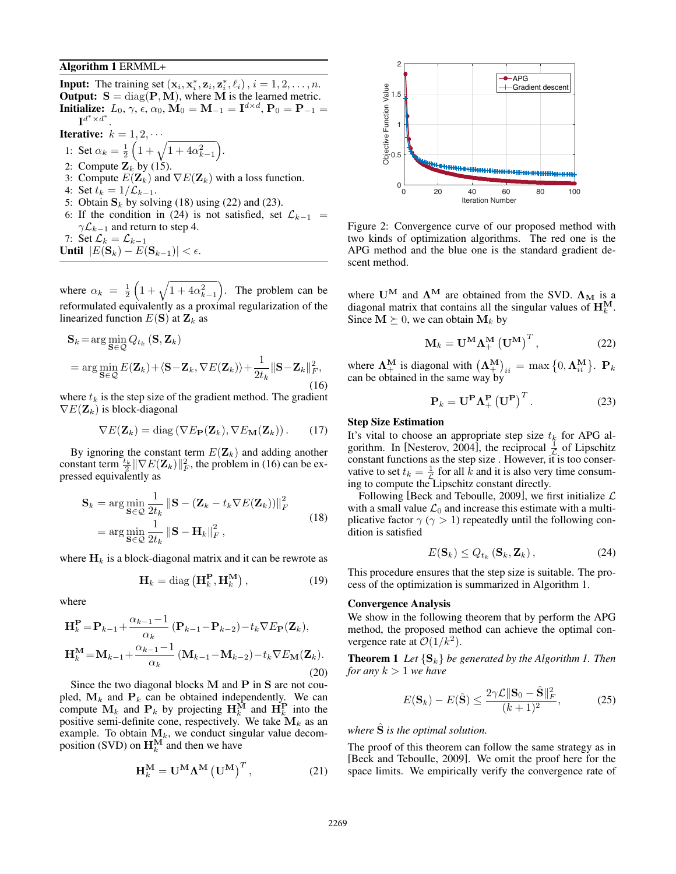#### Algorithm 1 ERMML+

Input: The training set  $(\mathbf{x}_i, \mathbf{x}_i^*, \mathbf{z}_i, \mathbf{z}_i^*, \ell_i), i = 1, 2, \ldots, n$ . **Output:**  $S = diag(P, M)$ , where M is the learned metric. **Initialize:**  $L_0, \gamma, \epsilon, \alpha_0, \mathbf{M}_0 = \mathbf{M}_{-1} = \mathbf{I}^{d \times d}, \mathbf{P}_0 = \mathbf{P}_{-1} =$  $\mathbf{I}^{d^*\times d^*}.$ 

 $).$ 

**Iterative:**  $k = 1, 2, \cdots$ 

- 1: Set  $\alpha_k = \frac{1}{2}$  $\left(1+\sqrt{1+4\alpha_{k-1}^2}\right.$
- 2: Compute  $\mathbf{Z}_k$  by (15).
- 3: Compute  $E(\mathbf{Z}_k)$  and  $\nabla E(\mathbf{Z}_k)$  with a loss function.
- 4: Set  $t_k = 1/\mathcal{L}_{k-1}$ .
- 5: Obtain  $S_k$  by solving (18) using (22) and (23).
- 6: If the condition in (24) is not satisfied, set  $\mathcal{L}_{k-1}$  =  $\gamma \mathcal{L}_{k-1}$  and return to step 4.

7: Set  $\mathcal{L}_k = \mathcal{L}_{k-1}$ Until  $|E(\mathbf{S}_k) - E(\mathbf{S}_{k-1})| < \epsilon$ .

where  $\alpha_k = \frac{1}{2}$  $\left(1+\sqrt{1+4\alpha_{k-1}^2}\right.$ ⌘ . The problem can be reformulated equivalently as a proximal regularization of the linearized function  $E(S)$  at  $\mathbf{Z}_k$  as

$$
\mathbf{S}_{k} = \arg\min_{\mathbf{S} \in \mathcal{Q}} Q_{t_{k}} (\mathbf{S}, \mathbf{Z}_{k})
$$
  
= 
$$
\arg\min_{\mathbf{S} \in \mathcal{Q}} E(\mathbf{Z}_{k}) + \langle \mathbf{S} - \mathbf{Z}_{k}, \nabla E(\mathbf{Z}_{k}) \rangle + \frac{1}{2t_{k}} ||\mathbf{S} - \mathbf{Z}_{k}||_{F}^{2},
$$
  
(16)

where  $t_k$  is the step size of the gradient method. The gradient  $\nabla E(\mathbf{Z}_k)$  is block-diagonal

$$
\nabla E(\mathbf{Z}_k) = \text{diag}\left(\nabla E_{\mathbf{P}}(\mathbf{Z}_k), \nabla E_{\mathbf{M}}(\mathbf{Z}_k)\right). \tag{17}
$$

By ignoring the constant term  $E(\mathbf{Z}_k)$  and adding another constant term  $\frac{t_k}{2} \|\nabla E(\mathbf{Z}_k)\|_F^2$ , the problem in (16) can be expressed equivalently as

$$
\mathbf{S}_{k} = \arg\min_{\mathbf{S}\in\mathcal{Q}}\frac{1}{2t_{k}}\left\|\mathbf{S} - (\mathbf{Z}_{k} - t_{k}\nabla E(\mathbf{Z}_{k}))\right\|_{F}^{2}
$$
  
= 
$$
\arg\min_{\mathbf{S}\in\mathcal{Q}}\frac{1}{2t_{k}}\left\|\mathbf{S} - \mathbf{H}_{k}\right\|_{F}^{2},
$$
 (18)

where  $H_k$  is a block-diagonal matrix and it can be rewrote as

$$
\mathbf{H}_k = \text{diag}\left(\mathbf{H}_k^{\mathbf{P}}, \mathbf{H}_k^{\mathbf{M}}\right),\tag{19}
$$

where

$$
\mathbf{H}_{k}^{\mathbf{P}} = \mathbf{P}_{k-1} + \frac{\alpha_{k-1} - 1}{\alpha_{k}} \left( \mathbf{P}_{k-1} - \mathbf{P}_{k-2} \right) - t_{k} \nabla E_{\mathbf{P}}(\mathbf{Z}_{k}),
$$
\n
$$
\mathbf{H}_{k}^{\mathbf{M}} = \mathbf{M}_{k-1} + \frac{\alpha_{k-1} - 1}{\alpha_{k}} \left( \mathbf{M}_{k-1} - \mathbf{M}_{k-2} \right) - t_{k} \nabla E_{\mathbf{M}}(\mathbf{Z}_{k}).
$$
\n(20)

Since the two diagonal blocks M and P in S are not coupled,  $M_k$  and  $P_k$  can be obtained independently. We can compute  $\mathbf{M}_k$  and  $\mathbf{P}_k$  by projecting  $\mathbf{H}_k^{\overline{\mathbf{M}}}$  and  $\mathbf{H}_k^{\overline{\mathbf{P}}}$  into the positive semi-definite cone, respectively. We take M*<sup>k</sup>* as an example. To obtain  $M_k$ , we conduct singular value decomposition (SVD) on  $\mathbf{H}_k^{\mathbf{M}}$  and then we have

$$
\mathbf{H}_{k}^{\mathbf{M}} = \mathbf{U}^{\mathbf{M}} \mathbf{\Lambda}^{\mathbf{M}} \left( \mathbf{U}^{\mathbf{M}} \right)^{T}, \tag{21}
$$



Figure 2: Convergence curve of our proposed method with two kinds of optimization algorithms. The red one is the APG method and the blue one is the standard gradient descent method.

where  $U^M$  and  $\Lambda^M$  are obtained from the SVD.  $\Lambda_M$  is a diagonal matrix that contains all the singular values of  $H_k^M$ . Since  $M \succeq 0$ , we can obtain  $M_k$  by

$$
\mathbf{M}_{k} = \mathbf{U}^{\mathbf{M}} \mathbf{\Lambda}_{+}^{\mathbf{M}} \left( \mathbf{U}^{\mathbf{M}} \right)^{T}, \tag{22}
$$

where  $\mathbf{\Lambda}^{\mathbf{M}}_{+}$  is diagonal with  $(\mathbf{\Lambda}^{\mathbf{M}}_{+})_{ii} = \max\{0, \mathbf{\Lambda}^{\mathbf{M}}_{ii}\}\$ .  $\mathbf{P}_k$ can be obtained in the same way by

$$
\mathbf{P}_k = \mathbf{U}^{\mathbf{P}} \mathbf{\Lambda}_+^{\mathbf{P}} \left( \mathbf{U}^{\mathbf{P}} \right)^T. \tag{23}
$$

#### Step Size Estimation

It's vital to choose an appropriate step size  $t_k$  for APG algorithm. In [Nesterov, 2004], the reciprocal  $\frac{1}{\mathcal{L}}$  of Lipschitz constant functions as the step size . However, it is too conservative to set  $t_k = \frac{1}{k}$  for all  $\vec{k}$  and it is also very time consuming to compute the Lipschitz constant directly.

Following [Beck and Teboulle, 2009], we first initialize *L* with a small value  $\mathcal{L}_0$  and increase this estimate with a multiplicative factor  $\gamma$  ( $\gamma$  > 1) repeatedly until the following condition is satisfied

$$
E(\mathbf{S}_k) \le Q_{t_k}(\mathbf{S}_k, \mathbf{Z}_k), \tag{24}
$$

This procedure ensures that the step size is suitable. The process of the optimization is summarized in Algorithm 1.

#### Convergence Analysis

We show in the following theorem that by perform the APG method, the proposed method can achieve the optimal convergence rate at  $\mathcal{O}(1/k^2)$ .

**Theorem 1** Let  ${S_k}$  be generated by the Algorithm 1. Then *for any k >* 1 *we have*

$$
E(\mathbf{S}_k) - E(\hat{\mathbf{S}}) \le \frac{2\gamma \mathcal{L} ||\mathbf{S}_0 - \hat{\mathbf{S}}||_F^2}{(k+1)^2},
$$
(25)

### *where*  $\hat{S}$  *is the optimal solution.*

The proof of this theorem can follow the same strategy as in [Beck and Teboulle, 2009]. We omit the proof here for the space limits. We empirically verify the convergence rate of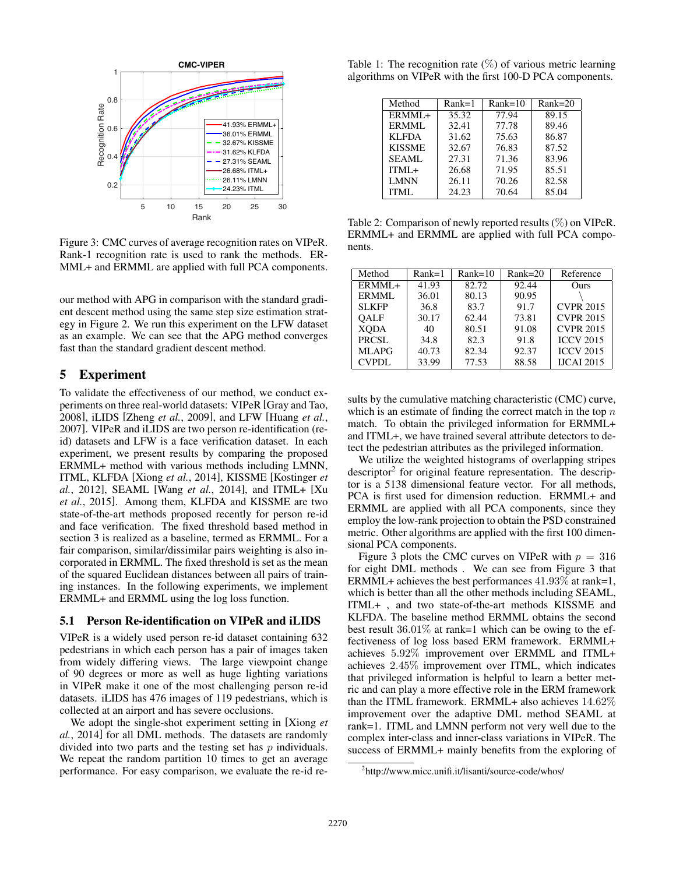

Figure 3: CMC curves of average recognition rates on VIPeR. Rank-1 recognition rate is used to rank the methods. ER-MML+ and ERMML are applied with full PCA components.

our method with APG in comparison with the standard gradient descent method using the same step size estimation strategy in Figure 2. We run this experiment on the LFW dataset as an example. We can see that the APG method converges fast than the standard gradient descent method.

# 5 Experiment

To validate the effectiveness of our method, we conduct experiments on three real-world datasets: VIPeR [Gray and Tao, 2008], iLIDS [Zheng *et al.*, 2009], and LFW [Huang *et al.*, 2007]. VIPeR and iLIDS are two person re-identification (reid) datasets and LFW is a face verification dataset. In each experiment, we present results by comparing the proposed ERMML+ method with various methods including LMNN, ITML, KLFDA [Xiong *et al.*, 2014], KISSME [Kostinger *et al.*, 2012], SEAML [Wang *et al.*, 2014], and ITML+ [Xu *et al.*, 2015]. Among them, KLFDA and KISSME are two state-of-the-art methods proposed recently for person re-id and face verification. The fixed threshold based method in section 3 is realized as a baseline, termed as ERMML. For a fair comparison, similar/dissimilar pairs weighting is also incorporated in ERMML. The fixed threshold is set as the mean of the squared Euclidean distances between all pairs of training instances. In the following experiments, we implement ERMML+ and ERMML using the log loss function.

#### 5.1 Person Re-identification on VIPeR and iLIDS

VIPeR is a widely used person re-id dataset containing 632 pedestrians in which each person has a pair of images taken from widely differing views. The large viewpoint change of 90 degrees or more as well as huge lighting variations in VIPeR make it one of the most challenging person re-id datasets. iLIDS has 476 images of 119 pedestrians, which is collected at an airport and has severe occlusions.

We adopt the single-shot experiment setting in [Xiong *et al.*, 2014] for all DML methods. The datasets are randomly divided into two parts and the testing set has *p* individuals. We repeat the random partition 10 times to get an average performance. For easy comparison, we evaluate the re-id re-

Table 1: The recognition rate  $(\%)$  of various metric learning algorithms on VIPeR with the first 100-D PCA components.

| Method        | $Rank=1$ | $Rank=10$ | $Rank=20$ |
|---------------|----------|-----------|-----------|
| ERMML+        | 35.32    | 77.94     | 89.15     |
| ERMML         | 32.41    | 77.78     | 89.46     |
| <b>KLFDA</b>  | 31.62    | 75.63     | 86.87     |
| <b>KISSME</b> | 32.67    | 76.83     | 87.52     |
| <b>SEAML</b>  | 27.31    | 71.36     | 83.96     |
| ITML+         | 26.68    | 71.95     | 85.51     |
| <b>LMNN</b>   | 26.11    | 70.26     | 82.58     |
| <b>ITML</b>   | 24.23    | 70.64     | 85.04     |

Table 2: Comparison of newly reported results (%) on VIPeR. ERMML+ and ERMML are applied with full PCA components.

| Method       | $Rank=1$ | $Rank=10$ | $Rank=20$ | Reference         |
|--------------|----------|-----------|-----------|-------------------|
| ERMML+       | 41.93    | 82.72     | 92.44     | Ours              |
| ERMML        | 36.01    | 80.13     | 90.95     |                   |
| <b>SLKFP</b> | 36.8     | 83.7      | 91.7      | <b>CVPR 2015</b>  |
| <b>OALF</b>  | 30.17    | 62.44     | 73.81     | <b>CVPR 2015</b>  |
| <b>XODA</b>  | 40       | 80.51     | 91.08     | <b>CVPR 2015</b>  |
| PRCSL        | 34.8     | 82.3      | 91.8      | <b>ICCV 2015</b>  |
| <b>MLAPG</b> | 40.73    | 82.34     | 92.37     | <b>ICCV 2015</b>  |
| <b>CVPDL</b> | 33.99    | 77.53     | 88.58     | <b>IJCAI 2015</b> |

sults by the cumulative matching characteristic (CMC) curve, which is an estimate of finding the correct match in the top *n* match. To obtain the privileged information for ERMML+ and ITML+, we have trained several attribute detectors to detect the pedestrian attributes as the privileged information.

We utilize the weighted histograms of overlapping stripes descriptor<sup>2</sup> for original feature representation. The descriptor is a 5138 dimensional feature vector. For all methods, PCA is first used for dimension reduction. ERMML+ and ERMML are applied with all PCA components, since they employ the low-rank projection to obtain the PSD constrained metric. Other algorithms are applied with the first 100 dimensional PCA components.

Figure 3 plots the CMC curves on VIPeR with  $p = 316$ for eight DML methods . We can see from Figure 3 that ERMML+ achieves the best performances 41*.*93% at rank=1, which is better than all the other methods including SEAML, ITML+ , and two state-of-the-art methods KISSME and KLFDA. The baseline method ERMML obtains the second best result 36*.*01% at rank=1 which can be owing to the effectiveness of log loss based ERM framework. ERMML+ achieves 5*.*92% improvement over ERMML and ITML+ achieves 2*.*45% improvement over ITML, which indicates that privileged information is helpful to learn a better metric and can play a more effective role in the ERM framework than the ITML framework. ERMML+ also achieves 14*.*62% improvement over the adaptive DML method SEAML at rank=1. ITML and LMNN perform not very well due to the complex inter-class and inner-class variations in VIPeR. The success of ERMML+ mainly benefits from the exploring of

<sup>2</sup> http://www.micc.unifi.it/lisanti/source-code/whos/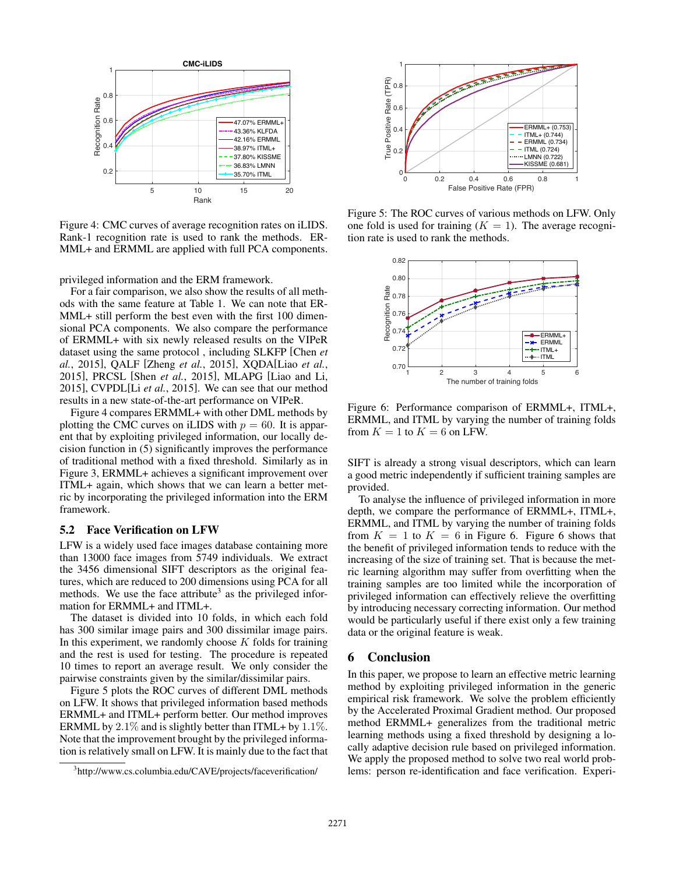

Figure 4: CMC curves of average recognition rates on iLIDS. Rank-1 recognition rate is used to rank the methods. ER-MML+ and ERMML are applied with full PCA components.

privileged information and the ERM framework.

For a fair comparison, we also show the results of all methods with the same feature at Table 1. We can note that ER-MML+ still perform the best even with the first 100 dimensional PCA components. We also compare the performance of ERMML+ with six newly released results on the VIPeR dataset using the same protocol , including SLKFP [Chen *et al.*, 2015], QALF [Zheng *et al.*, 2015], XQDA[Liao *et al.*, 2015], PRCSL [Shen *et al.*, 2015], MLAPG [Liao and Li, 2015], CVPDL[Li *et al.*, 2015]. We can see that our method results in a new state-of-the-art performance on VIPeR.

Figure 4 compares ERMML+ with other DML methods by plotting the CMC curves on iLIDS with  $p = 60$ . It is apparent that by exploiting privileged information, our locally decision function in (5) significantly improves the performance of traditional method with a fixed threshold. Similarly as in Figure 3, ERMML+ achieves a significant improvement over ITML+ again, which shows that we can learn a better metric by incorporating the privileged information into the ERM framework.

#### 5.2 Face Verification on LFW

LFW is a widely used face images database containing more than 13000 face images from 5749 individuals. We extract the 3456 dimensional SIFT descriptors as the original features, which are reduced to 200 dimensions using PCA for all methods. We use the face attribute<sup>3</sup> as the privileged information for ERMML+ and ITML+.

The dataset is divided into 10 folds, in which each fold has 300 similar image pairs and 300 dissimilar image pairs. In this experiment, we randomly choose *K* folds for training and the rest is used for testing. The procedure is repeated 10 times to report an average result. We only consider the pairwise constraints given by the similar/dissimilar pairs.

Figure 5 plots the ROC curves of different DML methods on LFW. It shows that privileged information based methods ERMML+ and ITML+ perform better. Our method improves ERMML by 2*.*1% and is slightly better than ITML+ by 1*.*1%. Note that the improvement brought by the privileged information is relatively small on LFW. It is mainly due to the fact that



Figure 5: The ROC curves of various methods on LFW. Only one fold is used for training  $(K = 1)$ . The average recognition rate is used to rank the methods.



Figure 6: Performance comparison of ERMML+, ITML+, ERMML, and ITML by varying the number of training folds from  $K = 1$  to  $K = 6$  on LFW.

SIFT is already a strong visual descriptors, which can learn a good metric independently if sufficient training samples are provided.

To analyse the influence of privileged information in more depth, we compare the performance of ERMML+, ITML+, ERMML, and ITML by varying the number of training folds from  $K = 1$  to  $K = 6$  in Figure 6. Figure 6 shows that the benefit of privileged information tends to reduce with the increasing of the size of training set. That is because the metric learning algorithm may suffer from overfitting when the training samples are too limited while the incorporation of privileged information can effectively relieve the overfitting by introducing necessary correcting information. Our method would be particularly useful if there exist only a few training data or the original feature is weak.

### 6 Conclusion

In this paper, we propose to learn an effective metric learning method by exploiting privileged information in the generic empirical risk framework. We solve the problem efficiently by the Accelerated Proximal Gradient method. Our proposed method ERMML+ generalizes from the traditional metric learning methods using a fixed threshold by designing a locally adaptive decision rule based on privileged information. We apply the proposed method to solve two real world problems: person re-identification and face verification. Experi-

<sup>&</sup>lt;sup>3</sup>http://www.cs.columbia.edu/CAVE/projects/faceverification/